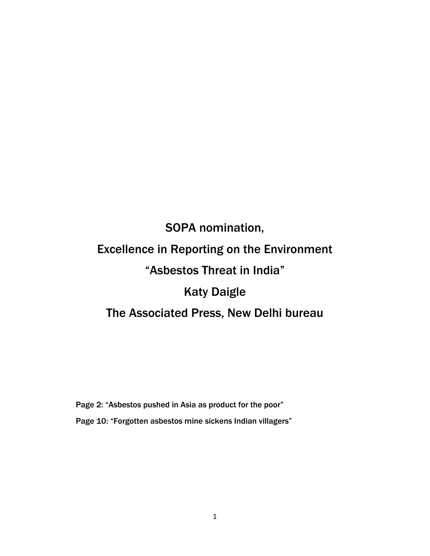# SOPA nomination, Excellence in Reporting on the Environment "Asbestos Threat in India" Katy Daigle The Associated Press, New Delhi bureau

Page 2: "Asbestos pushed in Asia as product for the poor" Page 10: "Forgotten asbestos mine sickens Indian villagers"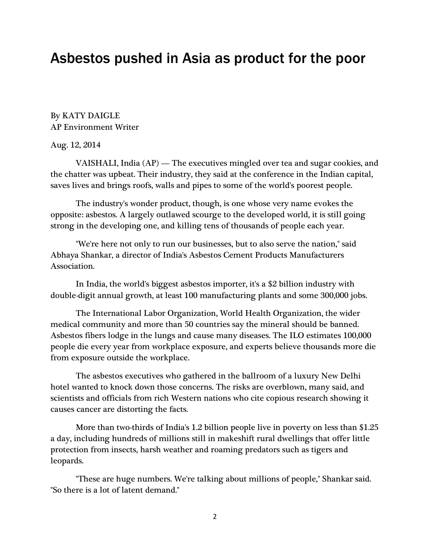### Asbestos pushed in Asia as product for the poor

By KATY DAIGLE AP Environment Writer

Aug. 12, 2014

VAISHALI, India (AP) — The executives mingled over tea and sugar cookies, and the chatter was upbeat. Their industry, they said at the conference in the Indian capital, saves lives and brings roofs, walls and pipes to some of the world's poorest people.

The industry's wonder product, though, is one whose very name evokes the opposite: asbestos. A largely outlawed scourge to the developed world, it is still going strong in the developing one, and killing tens of thousands of people each year.

"We're here not only to run our businesses, but to also serve the nation," said Abhaya Shankar, a director of India's Asbestos Cement Products Manufacturers Association.

In India, the world's biggest asbestos importer, it's a \$2 billion industry with double-digit annual growth, at least 100 manufacturing plants and some 300,000 jobs.

The International Labor Organization, World Health Organization, the wider medical community and more than 50 countries say the mineral should be banned. Asbestos fibers lodge in the lungs and cause many diseases. The ILO estimates 100,000 people die every year from workplace exposure, and experts believe thousands more die from exposure outside the workplace.

The asbestos executives who gathered in the ballroom of a luxury New Delhi hotel wanted to knock down those concerns. The risks are overblown, many said, and scientists and officials from rich Western nations who cite copious research showing it causes cancer are distorting the facts.

More than two-thirds of India's 1.2 billion people live in poverty on less than \$1.25 a day, including hundreds of millions still in makeshift rural dwellings that offer little protection from insects, harsh weather and roaming predators such as tigers and leopards.

"These are huge numbers. We're talking about millions of people," Shankar said. "So there is a lot of latent demand."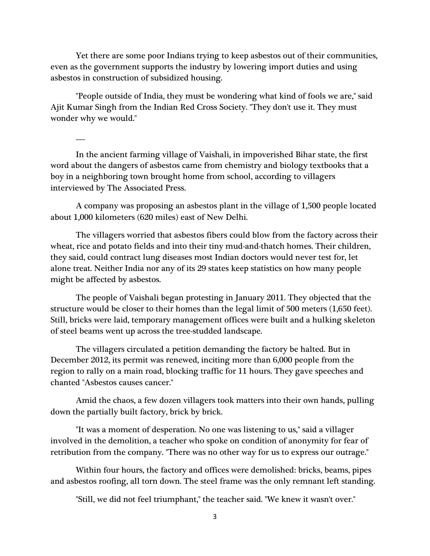Yet there are some poor Indians trying to keep asbestos out of their communities, even as the government supports the industry by lowering import duties and using asbestos in construction of subsidized housing.

"People outside of India, they must be wondering what kind of fools we are," said Ajit Kumar Singh from the Indian Red Cross Society. "They don't use it. They must wonder why we would."

In the ancient farming village of Vaishali, in impoverished Bihar state, the first word about the dangers of asbestos came from chemistry and biology textbooks that a boy in a neighboring town brought home from school, according to villagers interviewed by The Associated Press.

 $\overline{\phantom{a}}$ 

A company was proposing an asbestos plant in the village of 1,500 people located about 1,000 kilometers (620 miles) east of New Delhi.

The villagers worried that asbestos fibers could blow from the factory across their wheat, rice and potato fields and into their tiny mud-and-thatch homes. Their children, they said, could contract lung diseases most Indian doctors would never test for, let alone treat. Neither India nor any of its 29 states keep statistics on how many people might be affected by asbestos.

The people of Vaishali began protesting in January 2011. They objected that the structure would be closer to their homes than the legal limit of 500 meters (1,650 feet). Still, bricks were laid, temporary management offices were built and a hulking skeleton of steel beams went up across the tree-studded landscape.

The villagers circulated a petition demanding the factory be halted. But in December 2012, its permit was renewed, inciting more than 6,000 people from the region to rally on a main road, blocking traffic for 11 hours. They gave speeches and chanted "Asbestos causes cancer."

Amid the chaos, a few dozen villagers took matters into their own hands, pulling down the partially built factory, brick by brick.

"It was a moment of desperation. No one was listening to us," said a villager involved in the demolition, a teacher who spoke on condition of anonymity for fear of retribution from the company. "There was no other way for us to express our outrage."

Within four hours, the factory and offices were demolished: bricks, beams, pipes and asbestos roofing, all torn down. The steel frame was the only remnant left standing.

"Still, we did not feel triumphant," the teacher said. "We knew it wasn't over."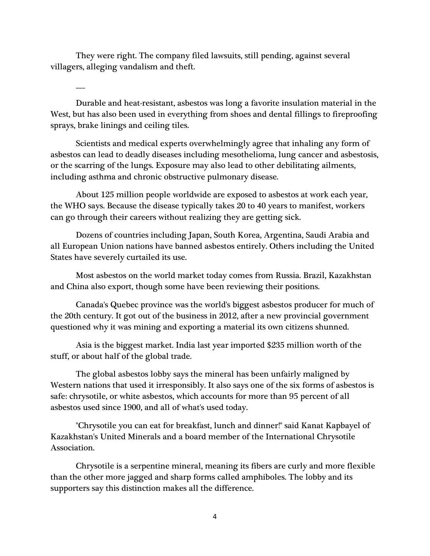They were right. The company filed lawsuits, still pending, against several villagers, alleging vandalism and theft.

 $\overline{\phantom{a}}$ 

Durable and heat-resistant, asbestos was long a favorite insulation material in the West, but has also been used in everything from shoes and dental fillings to fireproofing sprays, brake linings and ceiling tiles.

Scientists and medical experts overwhelmingly agree that inhaling any form of asbestos can lead to deadly diseases including mesothelioma, lung cancer and asbestosis, or the scarring of the lungs. Exposure may also lead to other debilitating ailments, including asthma and chronic obstructive pulmonary disease.

About 125 million people worldwide are exposed to asbestos at work each year, the WHO says. Because the disease typically takes 20 to 40 years to manifest, workers can go through their careers without realizing they are getting sick.

Dozens of countries including Japan, South Korea, Argentina, Saudi Arabia and all European Union nations have banned asbestos entirely. Others including the United States have severely curtailed its use.

Most asbestos on the world market today comes from Russia. Brazil, Kazakhstan and China also export, though some have been reviewing their positions.

Canada's Quebec province was the world's biggest asbestos producer for much of the 20th century. It got out of the business in 2012, after a new provincial government questioned why it was mining and exporting a material its own citizens shunned.

Asia is the biggest market. India last year imported \$235 million worth of the stuff, or about half of the global trade.

The global asbestos lobby says the mineral has been unfairly maligned by Western nations that used it irresponsibly. It also says one of the six forms of asbestos is safe: chrysotile, or white asbestos, which accounts for more than 95 percent of all asbestos used since 1900, and all of what's used today.

"Chrysotile you can eat for breakfast, lunch and dinner!" said Kanat Kapbayel of Kazakhstan's United Minerals and a board member of the International Chrysotile Association.

Chrysotile is a serpentine mineral, meaning its fibers are curly and more flexible than the other more jagged and sharp forms called amphiboles. The lobby and its supporters say this distinction makes all the difference.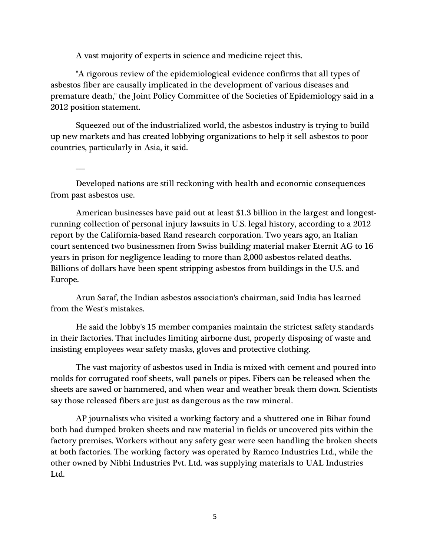A vast majority of experts in science and medicine reject this.

"A rigorous review of the epidemiological evidence confirms that all types of asbestos fiber are causally implicated in the development of various diseases and premature death," the Joint Policy Committee of the Societies of Epidemiology said in a 2012 position statement.

Squeezed out of the industrialized world, the asbestos industry is trying to build up new markets and has created lobbying organizations to help it sell asbestos to poor countries, particularly in Asia, it said.

 $\overline{\phantom{a}}$ 

Developed nations are still reckoning with health and economic consequences from past asbestos use.

American businesses have paid out at least \$1.3 billion in the largest and longestrunning collection of personal injury lawsuits in U.S. legal history, according to a 2012 report by the California-based Rand research corporation. Two years ago, an Italian court sentenced two businessmen from Swiss building material maker Eternit AG to 16 years in prison for negligence leading to more than 2,000 asbestos-related deaths. Billions of dollars have been spent stripping asbestos from buildings in the U.S. and Europe.

Arun Saraf, the Indian asbestos association's chairman, said India has learned from the West's mistakes.

He said the lobby's 15 member companies maintain the strictest safety standards in their factories. That includes limiting airborne dust, properly disposing of waste and insisting employees wear safety masks, gloves and protective clothing.

The vast majority of asbestos used in India is mixed with cement and poured into molds for corrugated roof sheets, wall panels or pipes. Fibers can be released when the sheets are sawed or hammered, and when wear and weather break them down. Scientists say those released fibers are just as dangerous as the raw mineral.

AP journalists who visited a working factory and a shuttered one in Bihar found both had dumped broken sheets and raw material in fields or uncovered pits within the factory premises. Workers without any safety gear were seen handling the broken sheets at both factories. The working factory was operated by Ramco Industries Ltd., while the other owned by Nibhi Industries Pvt. Ltd. was supplying materials to UAL Industries Ltd.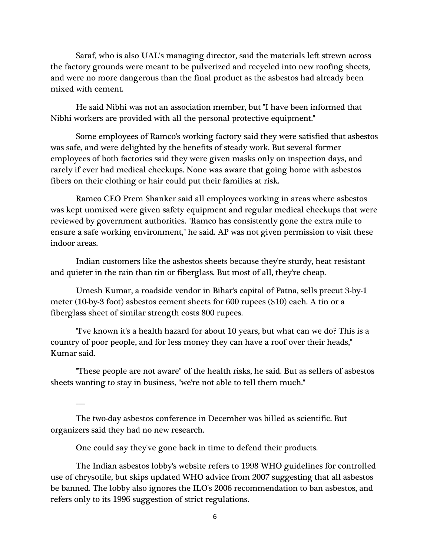Saraf, who is also UAL's managing director, said the materials left strewn across the factory grounds were meant to be pulverized and recycled into new roofing sheets, and were no more dangerous than the final product as the asbestos had already been mixed with cement.

He said Nibhi was not an association member, but "I have been informed that Nibhi workers are provided with all the personal protective equipment."

Some employees of Ramco's working factory said they were satisfied that asbestos was safe, and were delighted by the benefits of steady work. But several former employees of both factories said they were given masks only on inspection days, and rarely if ever had medical checkups. None was aware that going home with asbestos fibers on their clothing or hair could put their families at risk.

Ramco CEO Prem Shanker said all employees working in areas where asbestos was kept unmixed were given safety equipment and regular medical checkups that were reviewed by government authorities. "Ramco has consistently gone the extra mile to ensure a safe working environment," he said. AP was not given permission to visit these indoor areas.

Indian customers like the asbestos sheets because they're sturdy, heat resistant and quieter in the rain than tin or fiberglass. But most of all, they're cheap.

Umesh Kumar, a roadside vendor in Bihar's capital of Patna, sells precut 3-by-1 meter (10-by-3 foot) asbestos cement sheets for 600 rupees (\$10) each. A tin or a fiberglass sheet of similar strength costs 800 rupees.

"I've known it's a health hazard for about 10 years, but what can we do? This is a country of poor people, and for less money they can have a roof over their heads," Kumar said.

"These people are not aware" of the health risks, he said. But as sellers of asbestos sheets wanting to stay in business, "we're not able to tell them much."

 $\overline{\phantom{a}}$ 

The two-day asbestos conference in December was billed as scientific. But organizers said they had no new research.

One could say they've gone back in time to defend their products.

The Indian asbestos lobby's website refers to 1998 WHO guidelines for controlled use of chrysotile, but skips updated WHO advice from 2007 suggesting that all asbestos be banned. The lobby also ignores the ILO's 2006 recommendation to ban asbestos, and refers only to its 1996 suggestion of strict regulations.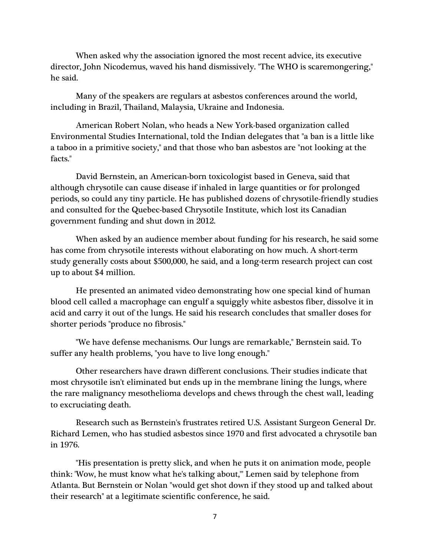When asked why the association ignored the most recent advice, its executive director, John Nicodemus, waved his hand dismissively. "The WHO is scaremongering," he said.

Many of the speakers are regulars at asbestos conferences around the world, including in Brazil, Thailand, Malaysia, Ukraine and Indonesia.

American Robert Nolan, who heads a New York-based organization called Environmental Studies International, told the Indian delegates that "a ban is a little like a taboo in a primitive society," and that those who ban asbestos are "not looking at the facts."

David Bernstein, an American-born toxicologist based in Geneva, said that although chrysotile can cause disease if inhaled in large quantities or for prolonged periods, so could any tiny particle. He has published dozens of chrysotile-friendly studies and consulted for the Quebec-based Chrysotile Institute, which lost its Canadian government funding and shut down in 2012.

When asked by an audience member about funding for his research, he said some has come from chrysotile interests without elaborating on how much. A short-term study generally costs about \$500,000, he said, and a long-term research project can cost up to about \$4 million.

He presented an animated video demonstrating how one special kind of human blood cell called a macrophage can engulf a squiggly white asbestos fiber, dissolve it in acid and carry it out of the lungs. He said his research concludes that smaller doses for shorter periods "produce no fibrosis."

"We have defense mechanisms. Our lungs are remarkable," Bernstein said. To suffer any health problems, "you have to live long enough."

Other researchers have drawn different conclusions. Their studies indicate that most chrysotile isn't eliminated but ends up in the membrane lining the lungs, where the rare malignancy mesothelioma develops and chews through the chest wall, leading to excruciating death.

Research such as Bernstein's frustrates retired U.S. Assistant Surgeon General Dr. Richard Lemen, who has studied asbestos since 1970 and first advocated a chrysotile ban in 1976.

"His presentation is pretty slick, and when he puts it on animation mode, people think: 'Wow, he must know what he's talking about,'" Lemen said by telephone from Atlanta. But Bernstein or Nolan "would get shot down if they stood up and talked about their research" at a legitimate scientific conference, he said.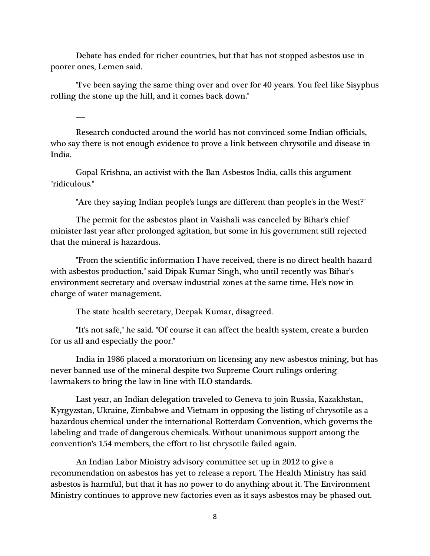Debate has ended for richer countries, but that has not stopped asbestos use in poorer ones, Lemen said.

"I've been saying the same thing over and over for 40 years. You feel like Sisyphus rolling the stone up the hill, and it comes back down."

 $\overline{\phantom{a}}$ 

Research conducted around the world has not convinced some Indian officials, who say there is not enough evidence to prove a link between chrysotile and disease in India.

Gopal Krishna, an activist with the Ban Asbestos India, calls this argument "ridiculous."

"Are they saying Indian people's lungs are different than people's in the West?"

The permit for the asbestos plant in Vaishali was canceled by Bihar's chief minister last year after prolonged agitation, but some in his government still rejected that the mineral is hazardous.

"From the scientific information I have received, there is no direct health hazard with asbestos production," said Dipak Kumar Singh, who until recently was Bihar's environment secretary and oversaw industrial zones at the same time. He's now in charge of water management.

The state health secretary, Deepak Kumar, disagreed.

"It's not safe," he said. "Of course it can affect the health system, create a burden for us all and especially the poor."

India in 1986 placed a moratorium on licensing any new asbestos mining, but has never banned use of the mineral despite two Supreme Court rulings ordering lawmakers to bring the law in line with ILO standards.

Last year, an Indian delegation traveled to Geneva to join Russia, Kazakhstan, Kyrgyzstan, Ukraine, Zimbabwe and Vietnam in opposing the listing of chrysotile as a hazardous chemical under the international Rotterdam Convention, which governs the labeling and trade of dangerous chemicals. Without unanimous support among the convention's 154 members, the effort to list chrysotile failed again.

An Indian Labor Ministry advisory committee set up in 2012 to give a recommendation on asbestos has yet to release a report. The Health Ministry has said asbestos is harmful, but that it has no power to do anything about it. The Environment Ministry continues to approve new factories even as it says asbestos may be phased out.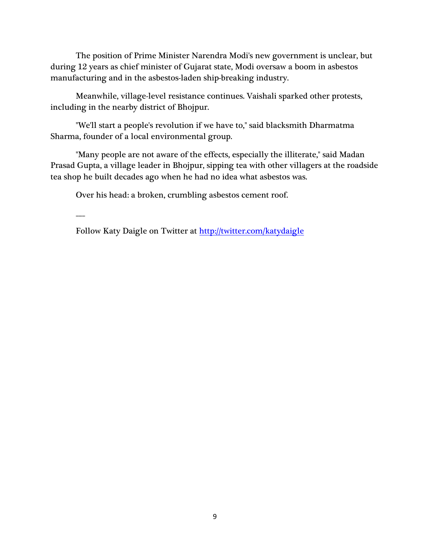The position of Prime Minister Narendra Modi's new government is unclear, but during 12 years as chief minister of Gujarat state, Modi oversaw a boom in asbestos manufacturing and in the asbestos-laden ship-breaking industry.

Meanwhile, village-level resistance continues. Vaishali sparked other protests, including in the nearby district of Bhojpur.

"We'll start a people's revolution if we have to," said blacksmith Dharmatma Sharma, founder of a local environmental group.

"Many people are not aware of the effects, especially the illiterate," said Madan Prasad Gupta, a village leader in Bhojpur, sipping tea with other villagers at the roadside tea shop he built decades ago when he had no idea what asbestos was.

Over his head: a broken, crumbling asbestos cement roof.

 $\overline{\phantom{a}}$ 

Follow Katy Daigle on Twitter at<http://twitter.com/katydaigle>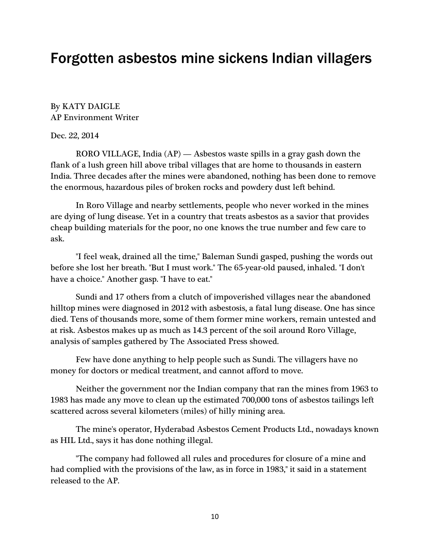## Forgotten asbestos mine sickens Indian villagers

#### By KATY DAIGLE AP Environment Writer

#### Dec. 22, 2014

RORO VILLAGE, India (AP) — Asbestos waste spills in a gray gash down the flank of a lush green hill above tribal villages that are home to thousands in eastern India. Three decades after the mines were abandoned, nothing has been done to remove the enormous, hazardous piles of broken rocks and powdery dust left behind.

In Roro Village and nearby settlements, people who never worked in the mines are dying of lung disease. Yet in a country that treats asbestos as a savior that provides cheap building materials for the poor, no one knows the true number and few care to ask.

"I feel weak, drained all the time," Baleman Sundi gasped, pushing the words out before she lost her breath. "But I must work." The 65-year-old paused, inhaled. "I don't have a choice." Another gasp. "I have to eat."

Sundi and 17 others from a clutch of impoverished villages near the abandoned hilltop mines were diagnosed in 2012 with asbestosis, a fatal lung disease. One has since died. Tens of thousands more, some of them former mine workers, remain untested and at risk. Asbestos makes up as much as 14.3 percent of the soil around Roro Village, analysis of samples gathered by The Associated Press showed.

Few have done anything to help people such as Sundi. The villagers have no money for doctors or medical treatment, and cannot afford to move.

Neither the government nor the Indian company that ran the mines from 1963 to 1983 has made any move to clean up the estimated 700,000 tons of asbestos tailings left scattered across several kilometers (miles) of hilly mining area.

The mine's operator, Hyderabad Asbestos Cement Products Ltd., nowadays known as HIL Ltd., says it has done nothing illegal.

"The company had followed all rules and procedures for closure of a mine and had complied with the provisions of the law, as in force in 1983," it said in a statement released to the AP.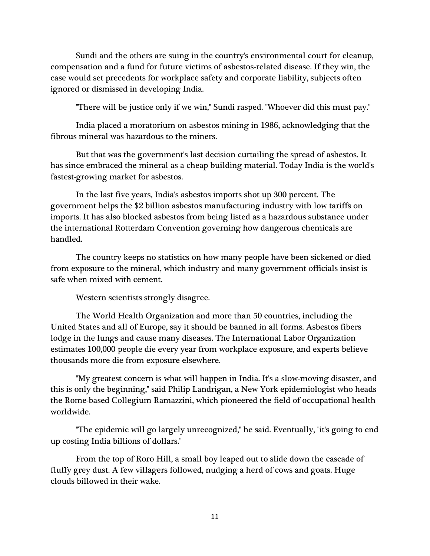Sundi and the others are suing in the country's environmental court for cleanup, compensation and a fund for future victims of asbestos-related disease. If they win, the case would set precedents for workplace safety and corporate liability, subjects often ignored or dismissed in developing India.

"There will be justice only if we win," Sundi rasped. "Whoever did this must pay."

India placed a moratorium on asbestos mining in 1986, acknowledging that the fibrous mineral was hazardous to the miners.

But that was the government's last decision curtailing the spread of asbestos. It has since embraced the mineral as a cheap building material. Today India is the world's fastest-growing market for asbestos.

In the last five years, India's asbestos imports shot up 300 percent. The government helps the \$2 billion asbestos manufacturing industry with low tariffs on imports. It has also blocked asbestos from being listed as a hazardous substance under the international Rotterdam Convention governing how dangerous chemicals are handled.

The country keeps no statistics on how many people have been sickened or died from exposure to the mineral, which industry and many government officials insist is safe when mixed with cement.

Western scientists strongly disagree.

The World Health Organization and more than 50 countries, including the United States and all of Europe, say it should be banned in all forms. Asbestos fibers lodge in the lungs and cause many diseases. The International Labor Organization estimates 100,000 people die every year from workplace exposure, and experts believe thousands more die from exposure elsewhere.

"My greatest concern is what will happen in India. It's a slow-moving disaster, and this is only the beginning," said Philip Landrigan, a New York epidemiologist who heads the Rome-based Collegium Ramazzini, which pioneered the field of occupational health worldwide.

"The epidemic will go largely unrecognized," he said. Eventually, "it's going to end up costing India billions of dollars."

From the top of Roro Hill, a small boy leaped out to slide down the cascade of fluffy grey dust. A few villagers followed, nudging a herd of cows and goats. Huge clouds billowed in their wake.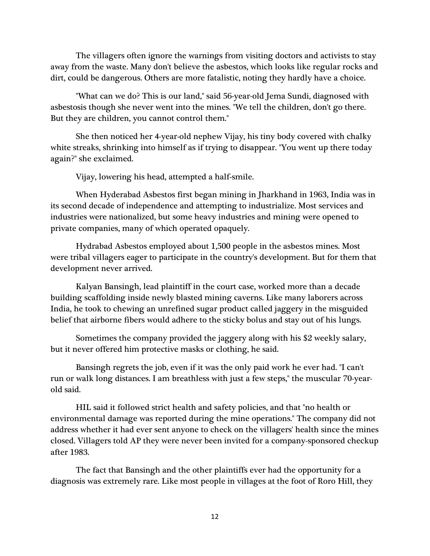The villagers often ignore the warnings from visiting doctors and activists to stay away from the waste. Many don't believe the asbestos, which looks like regular rocks and dirt, could be dangerous. Others are more fatalistic, noting they hardly have a choice.

"What can we do? This is our land," said 56-year-old Jema Sundi, diagnosed with asbestosis though she never went into the mines. "We tell the children, don't go there. But they are children, you cannot control them."

She then noticed her 4-year-old nephew Vijay, his tiny body covered with chalky white streaks, shrinking into himself as if trying to disappear. "You went up there today again?" she exclaimed.

Vijay, lowering his head, attempted a half-smile.

When Hyderabad Asbestos first began mining in Jharkhand in 1963, India was in its second decade of independence and attempting to industrialize. Most services and industries were nationalized, but some heavy industries and mining were opened to private companies, many of which operated opaquely.

Hydrabad Asbestos employed about 1,500 people in the asbestos mines. Most were tribal villagers eager to participate in the country's development. But for them that development never arrived.

Kalyan Bansingh, lead plaintiff in the court case, worked more than a decade building scaffolding inside newly blasted mining caverns. Like many laborers across India, he took to chewing an unrefined sugar product called jaggery in the misguided belief that airborne fibers would adhere to the sticky bolus and stay out of his lungs.

Sometimes the company provided the jaggery along with his \$2 weekly salary, but it never offered him protective masks or clothing, he said.

Bansingh regrets the job, even if it was the only paid work he ever had. "I can't run or walk long distances. I am breathless with just a few steps," the muscular 70-yearold said.

HIL said it followed strict health and safety policies, and that "no health or environmental damage was reported during the mine operations." The company did not address whether it had ever sent anyone to check on the villagers' health since the mines closed. Villagers told AP they were never been invited for a company-sponsored checkup after 1983.

The fact that Bansingh and the other plaintiffs ever had the opportunity for a diagnosis was extremely rare. Like most people in villages at the foot of Roro Hill, they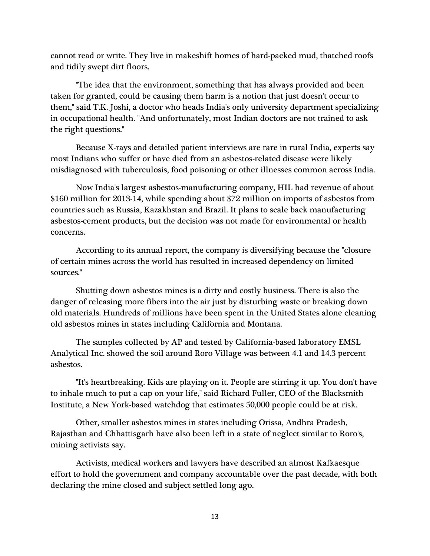cannot read or write. They live in makeshift homes of hard-packed mud, thatched roofs and tidily swept dirt floors.

"The idea that the environment, something that has always provided and been taken for granted, could be causing them harm is a notion that just doesn't occur to them," said T.K. Joshi, a doctor who heads India's only university department specializing in occupational health. "And unfortunately, most Indian doctors are not trained to ask the right questions."

Because X-rays and detailed patient interviews are rare in rural India, experts say most Indians who suffer or have died from an asbestos-related disease were likely misdiagnosed with tuberculosis, food poisoning or other illnesses common across India.

Now India's largest asbestos-manufacturing company, HIL had revenue of about \$160 million for 2013-14, while spending about \$72 million on imports of asbestos from countries such as Russia, Kazakhstan and Brazil. It plans to scale back manufacturing asbestos-cement products, but the decision was not made for environmental or health concerns.

According to its annual report, the company is diversifying because the "closure of certain mines across the world has resulted in increased dependency on limited sources."

Shutting down asbestos mines is a dirty and costly business. There is also the danger of releasing more fibers into the air just by disturbing waste or breaking down old materials. Hundreds of millions have been spent in the United States alone cleaning old asbestos mines in states including California and Montana.

The samples collected by AP and tested by California-based laboratory EMSL Analytical Inc. showed the soil around Roro Village was between 4.1 and 14.3 percent asbestos.

"It's heartbreaking. Kids are playing on it. People are stirring it up. You don't have to inhale much to put a cap on your life," said Richard Fuller, CEO of the Blacksmith Institute, a New York-based watchdog that estimates 50,000 people could be at risk.

Other, smaller asbestos mines in states including Orissa, Andhra Pradesh, Rajasthan and Chhattisgarh have also been left in a state of neglect similar to Roro's, mining activists say.

Activists, medical workers and lawyers have described an almost Kafkaesque effort to hold the government and company accountable over the past decade, with both declaring the mine closed and subject settled long ago.